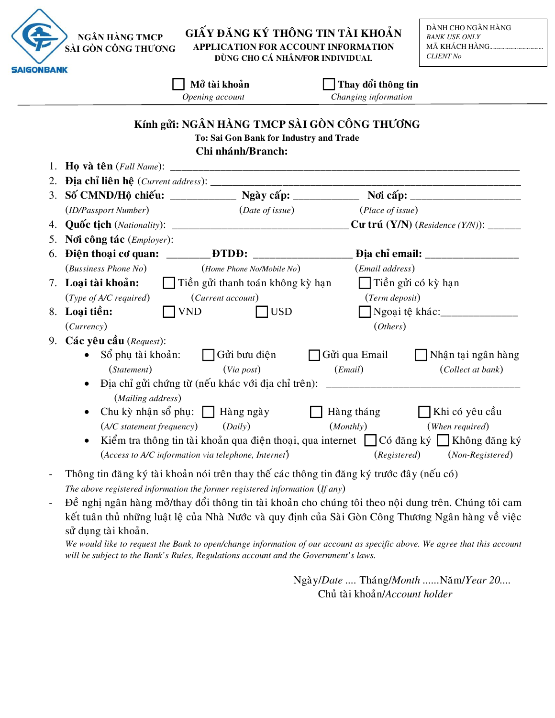## GIẤY ĐĂNG KÝ THÔNG TIN TÀI KHOẢN APPLICATION FOR ACCOUNT INFORMATION DÙNG CHO CÁ NHÂN/FOR INDIVIDUAL

|                    |                                                                                        | Mở tài khoản<br>Opening account                                                                              | Thay đổi thông tin<br>Changing information |                                                                                        |
|--------------------|----------------------------------------------------------------------------------------|--------------------------------------------------------------------------------------------------------------|--------------------------------------------|----------------------------------------------------------------------------------------|
|                    |                                                                                        | Kính gửi: NGÂN HÀNG TMCP SÀI GÒN CÔNG THƯƠNG<br>To: Sai Gon Bank for Industry and Trade<br>Chi nhánh/Branch: |                                            |                                                                                        |
| 1.                 |                                                                                        |                                                                                                              |                                            |                                                                                        |
| 2.                 |                                                                                        |                                                                                                              |                                            |                                                                                        |
|                    |                                                                                        |                                                                                                              |                                            |                                                                                        |
|                    | (ID/Passport Number)                                                                   | $(Date\ of\ issue)$                                                                                          | (Place of issue)                           |                                                                                        |
| 4.                 |                                                                                        |                                                                                                              |                                            |                                                                                        |
| 5.                 | Nơi công tác (Employer):                                                               |                                                                                                              |                                            |                                                                                        |
| 6.                 |                                                                                        |                                                                                                              |                                            |                                                                                        |
|                    | (Bussiness Phone No) (Home Phone No/Mobile No)                                         |                                                                                                              | (Email address)                            |                                                                                        |
| 7. Loại tài khoản: |                                                                                        | □ Tiền gửi thanh toán không kỳ hạn                                                                           |                                            | □ Tiền gửi có kỳ hạn                                                                   |
|                    | (Type of A/C required)                                                                 | (Current account)                                                                                            | (Term deposit)                             |                                                                                        |
|                    | 8. Loại tiền:                                                                          | <b>VND</b><br>$\bigcap$ USD                                                                                  |                                            | Ngoại tệ khác:                                                                         |
|                    | (Currency)                                                                             |                                                                                                              | (Ohers)                                    |                                                                                        |
|                    | 9. Các yêu cầu (Request):                                                              |                                                                                                              |                                            |                                                                                        |
|                    |                                                                                        | $S_0^{\delta}$ phụ tài khoản: $\Box$ Gửi bưu điện                                                            | Gửi qua Email                              | Nhận tại ngân hàng                                                                     |
|                    | (Statement)                                                                            | (Via post)                                                                                                   | (Email)                                    | (Collect at bank)                                                                      |
|                    |                                                                                        | Dịa chỉ gửi chứng từ (nếu khác với địa chỉ trên): _______________________________                            |                                            |                                                                                        |
|                    | (Mailing address)                                                                      |                                                                                                              |                                            |                                                                                        |
|                    | Chu kỳ nhận sổ phụ: $\Box$ Hàng ngày                                                   |                                                                                                              | Hàng tháng                                 | □ Khi có yêu cầu                                                                       |
|                    | (A/C statement frequency) (Daily)                                                      |                                                                                                              | (Monthly)                                  | (When required)                                                                        |
|                    |                                                                                        |                                                                                                              |                                            | Kiểm tra thông tin tài khoản qua điện thoại, qua internet □ Có đăng ký □ Không đăng ký |
|                    |                                                                                        | (Access to A/C information via telephone, Internet)                                                          | (Registered)                               | (Non-Registered)                                                                       |
|                    | Thông tin đăng ký tài khoản nói trên thay thế các thông tin đăng ký trước đây (nếu có) |                                                                                                              |                                            |                                                                                        |

The above registered information the former registered information (If any)

Đề nghị ngân hàng mở/thay đổi thông tin tài khoản cho chúng tôi theo nội dung trên. Chúng tôi cam  $\frac{1}{2}$ kết tuân thủ những luật lệ của Nhà Nước và quy định của Sài Gòn Công Thương Ngân hàng về việc sử dụng tài khoản.

We would like to request the Bank to open/change information of our account as specific above. We agree that this account will be subject to the Bank's Rules, Regulations account and the Government's laws.

> Ngày/Date .... Tháng/Month ...... Năm/Year 20.... Chủ tài khoản/Account holder